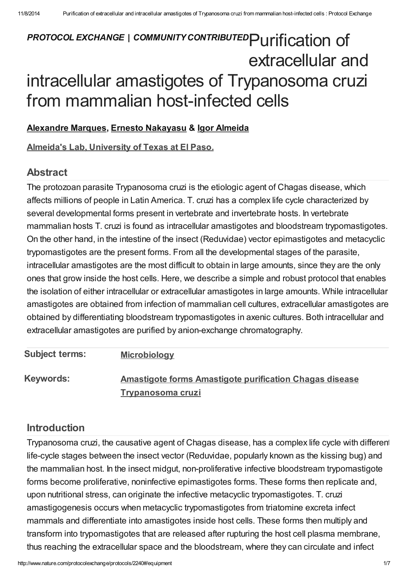# PROTOCOL EXCHANGE | COMMUNITY CONTRIBUTED Purification of extracellular and intracellular amastigotes of Trypanosoma cruzi from mammalian host-infected cells

#### [Alexandre](javascript:;) Marques, Ernesto [Nakayasu](javascript:;) & Igor [Almeida](javascript:;)

Almeida's Lab, [University](http://www.nature.com/protocolexchange/labgroups/620) of Texas at El Paso.

## Abstract

The protozoan parasite Trypanosoma cruzi is the etiologic agent of Chagas disease, which affects millions of people in Latin America. T. cruzi has a complex life cycle characterized by several developmental forms present in vertebrate and invertebrate hosts. In vertebrate mammalian hosts T. cruzi is found as intracellular amastigotes and bloodstream trypomastigotes. On the other hand, in the intestine of the insect (Reduvidae) vector epimastigotes and metacyclic trypomastigotes are the present forms. From all the developmental stages of the parasite, intracellular amastigotes are the most difficult to obtain in large amounts, since they are the only ones that grow inside the host cells. Here, we describe a simple and robust protocol that enables the isolation of either intracellular or extracellular amastigotes in large amounts. While intracellular amastigotes are obtained from infection of mammalian cell cultures, extracellular amastigotes are obtained by differentiating bloodstream trypomastigotes in axenic cultures. Both intracellular and extracellular amastigotes are purified by anion-exchange chromatography.

| <b>Subject terms:</b> | <b>Microbiology</b>                                            |
|-----------------------|----------------------------------------------------------------|
| <b>Keywords:</b>      | <b>Amastigote forms Amastigote purification Chagas disease</b> |
|                       | <b>Trypanosoma cruzi</b>                                       |

## [Introduction](javascript:;)

Trypanosoma cruzi, the causative agent of Chagas disease, has a complex life cycle with different life-cycle stages between the insect vector (Reduvidae, popularly known as the kissing bug) and the mammalian host. In the insect midgut, non-proliferative infective bloodstream trypomastigote forms become proliferative, noninfective epimastigotes forms. These forms then replicate and, upon nutritional stress, can originate the infective metacyclic trypomastigotes. T. cruzi amastigogenesis occurs when metacyclic trypomastigotes from triatomine excreta infect mammals and differentiate into amastigotes inside host cells. These forms then multiply and transform into trypomastigotes that are released after rupturing the host cell plasma membrane, thus reaching the extracellular space and the bloodstream, where they can circulate and infect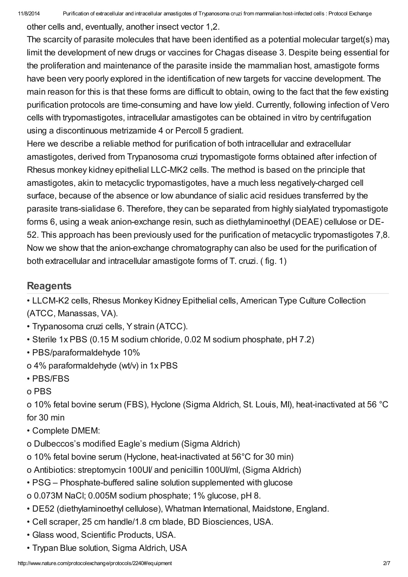other cells and, eventually, another insect vector 1,2.

The scarcity of parasite molecules that have been identified as a potential molecular target(s) may limit the development of new drugs or vaccines for Chagas disease 3. Despite being essential for the proliferation and maintenance of the parasite inside the mammalian host, amastigote forms have been very poorly explored in the identification of new targets for vaccine development. The main reason for this is that these forms are difficult to obtain, owing to the fact that the few existing purification protocols are time-consuming and have low yield. Currently, following infection of Vero cells with trypomastigotes, intracellular amastigotes can be obtained in vitro by centrifugation using a discontinuous metrizamide 4 or Percoll 5 gradient.

Here we describe a reliable method for purification of both intracellular and extracellular amastigotes, derived from Trypanosoma cruzi trypomastigote forms obtained after infection of Rhesus monkey kidney epithelial LLC-MK2 cells. The method is based on the principle that amastigotes, akin to metacyclic trypomastigotes, have a much less negatively-charged cell surface, because of the absence or low abundance of sialic acid residues transferred by the parasite trans-sialidase 6. Therefore, they can be separated from highly sialylated trypomastigote forms 6, using a weak anion-exchange resin, such as diethylaminoethyl (DEAE) cellulose or DE-52. This approach has been previously used for the purification of metacyclic trypomastigotes 7,8. Now we show that the anion-exchange chromatography can also be used for the purification of both extracellular and intracellular amastigote forms of T. cruzi. ( fig. 1)

## **[Reagents](javascript:;)**

• LLCM-K2 cells, Rhesus Monkey Kidney Epithelial cells, American Type Culture Collection (ATCC, Manassas, VA).

- Trypanosoma cruzi cells, Ystrain (ATCC).
- Sterile 1x PBS (0.15 M sodium chloride, 0.02 M sodium phosphate, pH 7.2)
- PBS/paraformaldehyde 10%
- o 4% paraformaldehyde (wt/v) in 1x PBS
- PBS/FBS
- o PBS

o 10% fetal bovine serum (FBS), Hyclone (Sigma Aldrich, St. Louis, MI), heat-inactivated at 56 °C for 30 min

- Complete DMEM:
- o Dulbeccos's modified Eagle's medium (Sigma Aldrich)
- o 10% fetal bovine serum (Hyclone, heat-inactivated at 56°C for 30 min)
- o Antibiotics: streptomycin 100UI/ and penicillin 100UI/ml, (Sigma Aldrich)
- PSG Phosphate-buffered saline solution supplemented with glucose
- o 0.073M NaCl; 0.005M sodium phosphate; 1% glucose, pH 8.
- DE52 (diethylaminoethyl cellulose), Whatman International, Maidstone, England.
- Cell scraper, 25 cm handle/1.8 cm blade, BD Biosciences, USA.
- Glass wood, Scientific Products, USA.
- Trypan Blue solution, Sigma Aldrich, USA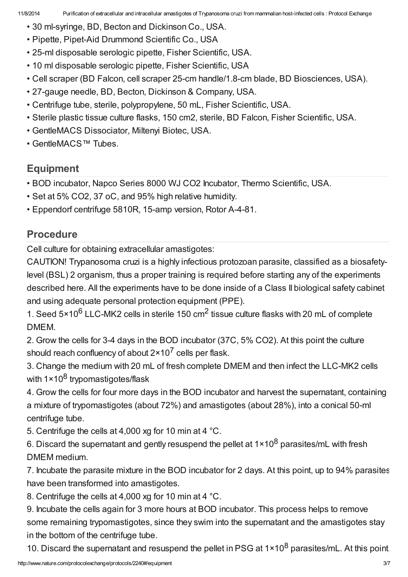- 30 ml-syringe, BD, Becton and Dickinson Co., USA.
- Pipette, Pipet-Aid Drummond Scientific Co., USA
- 25-ml disposable serologic pipette, Fisher Scientific, USA.
- 10 ml disposable serologic pipette, Fisher Scientific, USA
- Cell scraper (BD Falcon, cell scraper 25-cm handle/1.8-cm blade, BD Biosciences, USA).
- 27-gauge needle, BD, Becton, Dickinson & Company, USA.
- Centrifuge tube, sterile, polypropylene, 50 mL, Fisher Scientific, USA.
- Sterile plastic tissue culture flasks, 150 cm2, sterile, BD Falcon, Fisher Scientific, USA.
- GentleMACS Dissociator, Miltenyi Biotec, USA.
- GentleMACS™ Tubes.

# [Equipment](javascript:;)

- BOD incubator, Napco Series 8000 WJ CO2 Incubator, Thermo Scientific, USA.
- Set at 5% CO2, 37 oC, and 95% high relative humidity.
- Eppendorf centrifuge 5810R, 15-amp version, Rotor A-4-81.

# [Procedure](javascript:;)

Cell culture for obtaining extracellular amastigotes:

CAUTION! Trypanosoma cruzi is a highly infectious protozoan parasite, classified as a biosafetylevel (BSL) 2 organism, thus a proper training is required before starting any of the experiments described here. All the experiments have to be done inside of a Class II biological safety cabinet and using adequate personal protection equipment (PPE).

1. Seed 5×10<sup>6</sup> LLC-MK2 cells in sterile 150 cm<sup>2</sup> tissue culture flasks with 20 mL of complete DMEM.

2. Grow the cells for 3-4 days in the BOD incubator (37C, 5% CO2). At this point the culture should reach confluency of about  $2 \times 10^7$  cells per flask.

3. Change the medium with 20 mL of fresh complete DMEM and then infect the LLC-MK2 cells with 1×10<sup>8</sup> trypomastigotes/flask

4. Grow the cells for four more days in the BOD incubator and harvest the supernatant, containing a mixture of trypomastigotes (about 72%) and amastigotes (about 28%), into a conical 50-ml centrifuge tube.

5. Centrifuge the cells at 4,000 xg for 10 min at 4 °C.

6. Discard the supernatant and gently resuspend the pellet at  $1 \times 10^8$  parasites/mL with fresh DMEM medium.

7. Incubate the parasite mixture in the BOD incubator for 2 days. At this point, up to 94% parasites have been transformed into amastigotes.

8. Centrifuge the cells at 4,000 xg for 10 min at 4 °C.

9. Incubate the cells again for 3 more hours at BOD incubator. This process helps to remove some remaining trypomastigotes, since they swim into the supernatant and the amastigotes stay in the bottom of the centrifuge tube.

10. Discard the supernatant and resuspend the pellet in PSG at  $1 \times 10^8$  parasites/mL. At this point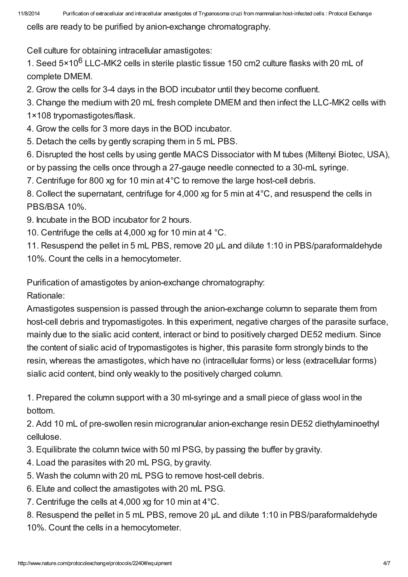cells are ready to be purified by anion-exchange chromatography.

Cell culture for obtaining intracellular amastigotes:

1. Seed 5×10<sup>6</sup> LLC-MK2 cells in sterile plastic tissue 150 cm2 culture flasks with 20 mL of complete DMEM.

2. Grow the cells for 3-4 days in the BOD incubator until they become confluent.

- 3. Change the medium with 20 mL fresh complete DMEM and then infect the LLC-MK2 cells with
- 1×108 trypomastigotes/flask.
- 4. Grow the cells for 3 more days in the BOD incubator.
- 5. Detach the cells by gently scraping them in 5 mL PBS.
- 6. Disrupted the host cells by using gentle MACS Dissociator with M tubes (Miltenyi Biotec, USA),
- or by passing the cells once through a 27-gauge needle connected to a 30-mL syringe.
- 7. Centrifuge for 800 xg for 10 min at 4°C to remove the large host-cell debris.

8. Collect the supernatant, centrifuge for 4,000 xg for 5 min at 4°C, and resuspend the cells in PBS/BSA 10%.

- 9. Incubate in the BOD incubator for 2 hours.
- 10. Centrifuge the cells at 4,000 xg for 10 min at 4 °C.

11. Resuspend the pellet in 5 mL PBS, remove 20 µL and dilute 1:10 in PBS/paraformaldehyde 10%. Count the cells in a hemocytometer.

Purification of amastigotes by anion-exchange chromatography:

Rationale:

Amastigotes suspension is passed through the anion-exchange column to separate them from host-cell debris and trypomastigotes. In this experiment, negative charges of the parasite surface, mainly due to the sialic acid content, interact or bind to positively charged DE52 medium. Since the content of sialic acid of trypomastigotes is higher, this parasite form strongly binds to the resin, whereas the amastigotes, which have no (intracellular forms) or less (extracellular forms) sialic acid content, bind only weakly to the positively charged column.

1. Prepared the column support with a 30 ml-syringe and a small piece of glass wool in the bottom.

2. Add 10 mL of pre-swollen resin microgranular anion-exchange resin DE52 diethylaminoethyl cellulose.

- 3. Equilibrate the column twice with 50 ml PSG, by passing the buffer by gravity.
- 4. Load the parasites with 20 mL PSG, by gravity.
- 5. Wash the column with 20 mL PSG to remove host-cell debris.
- 6. Elute and collect the amastigotes with 20 mL PSG.
- 7. Centrifuge the cells at 4,000 xg for 10 min at 4°C.

8. Resuspend the pellet in 5 mL PBS, remove 20 µL and dilute 1:10 in PBS/paraformaldehyde 10%. Count the cells in a hemocytometer.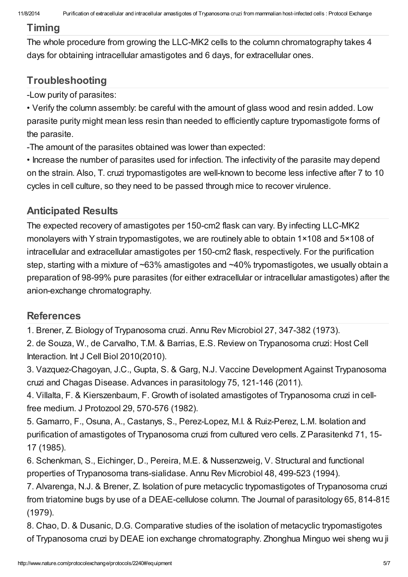## [Timing](javascript:;)

The whole procedure from growing the LLC-MK2 cells to the column chromatography takes 4 days for obtaining intracellular amastigotes and 6 days, for extracellular ones.

# **[Troubleshooting](javascript:;)**

-Low purity of parasites:

• Verify the column assembly: be careful with the amount of glass wood and resin added. Low parasite purity might mean less resin than needed to efficiently capture trypomastigote forms of the parasite.

-The amount of the parasites obtained was lower than expected:

• Increase the number of parasites used for infection. The infectivity of the parasite may depend on the strain. Also, T. cruzi trypomastigotes are well-known to become less infective after 7 to 10 cycles in cell culture, so they need to be passed through mice to recover virulence.

# [Anticipated](javascript:;) Results

The expected recovery of amastigotes per 150-cm2 flask can vary. By infecting LLC-MK2 monolayers with Ystrain trypomastigotes, we are routinely able to obtain 1×108 and 5×108 of intracellular and extracellular amastigotes per 150-cm2 flask, respectively. For the purification step, starting with a mixture of ~63% amastigotes and ~40% trypomastigotes, we usually obtain a preparation of 98-99% pure parasites (for either extracellular or intracellular amastigotes) after the anion-exchange chromatography.

## **[References](javascript:;)**

1. Brener, Z. Biology of Trypanosoma cruzi. Annu Rev Microbiol 27, 347-382 (1973).

2. de Souza, W., de Carvalho, T.M. & Barrias, E.S. Review on Trypanosoma cruzi: Host Cell Interaction. Int J Cell Biol 2010(2010).

3. Vazquez-Chagoyan, J.C., Gupta, S. & Garg, N.J. Vaccine Development Against Trypanosoma cruzi and Chagas Disease. Advances in parasitology 75, 121-146 (2011).

4. Villalta, F. & Kierszenbaum, F. Growth of isolated amastigotes of Trypanosoma cruzi in cellfree medium. J Protozool 29, 570-576 (1982).

5. Gamarro, F., Osuna, A., Castanys, S., Perez-Lopez, M.I. & Ruiz-Perez, L.M. Isolation and purification of amastigotes of Trypanosoma cruzi from cultured vero cells. Z Parasitenkd 71, 15- 17 (1985).

6. Schenkman, S., Eichinger, D., Pereira, M.E. & Nussenzweig, V. Structural and functional properties of Trypanosoma trans-sialidase. Annu Rev Microbiol 48, 499-523 (1994).

7. Alvarenga, N.J. & Brener, Z. Isolation of pure metacyclic trypomastigotes of Trypanosoma cruzi from triatomine bugs by use of a DEAE-cellulose column. The Journal of parasitology 65, 814-815 (1979).

8. Chao, D. & Dusanic, D.G. Comparative studies of the isolation of metacyclic trypomastigotes of Trypanosoma cruzi by DEAE ion exchange chromatography. Zhonghua Minguo wei sheng wu ji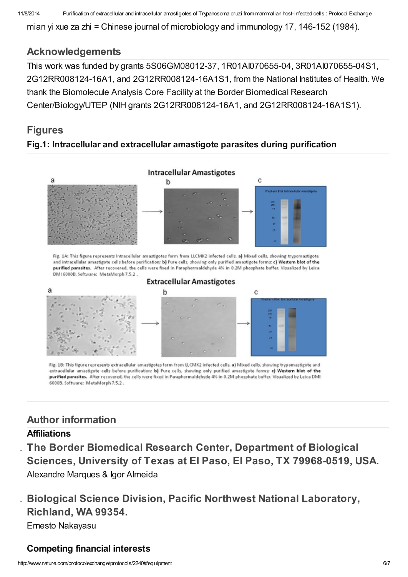11/8/2014 Purification of extracellular and intracellular amastigotes of Trypanosoma cruzi from mammalian host-infected cells : Protocol Exchange

mian yi xue za zhi = Chinese journal of microbiology and immunology 17, 146-152 (1984).

### [Acknowledgements](javascript:;)

This work was funded by grants 5S06GM08012-37, 1R01AI070655-04, 3R01AI070655-04S1, 2G12RR008124-16A1, and 2G12RR008124-16A1S1, from the National Institutes of Health. We thank the Biomolecule Analysis Core Facility at the Border Biomedical Research Center/Biology/UTEP (NIH grants 2G12RR008124-16A1, and 2G12RR008124-16A1S1).

### [Figures](javascript:;)

#### Fig.1: Intracellular and extracellular amastigote parasites during purification



Fig. 1A: This figure represents Intracellular amastigotes form from LLCMK2 infected cells. a) Mixed cells, showing trypomastigote and intracellular amastigote cells before purification; b) Pure cells, showing only purified amastigote forms; c) Western blot of the purified parasites. After recovered, the cells were fixed in Paraphormaldehyde 4% in 0.2M phosphate buffer. Visualized by Leica DMI 6000B. Software: MetaMorph 7.5.2.



Fig. 1B: This figure represents extracellular amastigotes form from LLCMK2 infected cells. a) Mixed cells, showing trypomastigote and extracellular amastigote cells before purification; b) Pure cells, showing only purified amastigote forms; c) Western blot of the purified parasites. After recovered, the cells were fixed in Paraphormaldehyde 4% in 0.2M phosphate buffer. Visualized by Leica DMI 6000B. Software: MetaMorph 7.5.2.

## Author [information](javascript:;)

#### **Affiliations**

The Border Biomedical Research Center, Department of Biological Sciences, University of Texas at El Paso, El Paso, TX 79968-0519, USA. Alexandre Marques & Igor Almeida

2. Biological Science Division, Pacific Northwest National Laboratory, Richland, WA 99354. Ernesto Nakayasu

#### Competing financial interests